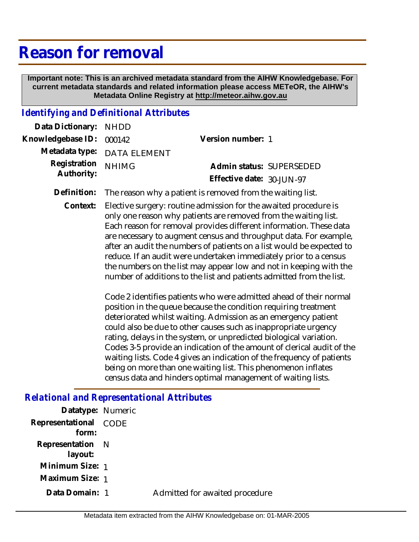## **Reason for removal**

 **Important note: This is an archived metadata standard from the AIHW Knowledgebase. For current metadata standards and related information please access METeOR, the AIHW's Metadata Online Registry at http://meteor.aihw.gov.au**

## *Identifying and Definitional Attributes*

| Data Dictionary: NHDD    |                             |  |                           |  |
|--------------------------|-----------------------------|--|---------------------------|--|
| Knowledgebase ID: 000142 |                             |  | Version number: 1         |  |
|                          | Metadata type: DATA ELEMENT |  |                           |  |
| Registration             | <b>NHIMG</b>                |  | Admin status: SUPERSEDED  |  |
| Authority:               |                             |  | Effective date: 30-JUN-97 |  |
|                          |                             |  |                           |  |

- **Definition:** The reason why a patient is removed from the waiting list.
	- Elective surgery: routine admission for the awaited procedure is only one reason why patients are removed from the waiting list. Each reason for removal provides different information. These data are necessary to augment census and throughput data. For example, after an audit the numbers of patients on a list would be expected to reduce. If an audit were undertaken immediately prior to a census the numbers on the list may appear low and not in keeping with the number of additions to the list and patients admitted from the list. **Context:**

Code 2 identifies patients who were admitted ahead of their normal position in the queue because the condition requiring treatment deteriorated whilst waiting. Admission as an emergency patient could also be due to other causes such as inappropriate urgency rating, delays in the system, or unpredicted biological variation. Codes 3-5 provide an indication of the amount of clerical audit of the waiting lists. Code 4 gives an indication of the frequency of patients being on more than one waiting list. This phenomenon inflates census data and hinders optimal management of waiting lists.

## *Relational and Representational Attributes*

| Datatype: Numeric              |                                |
|--------------------------------|--------------------------------|
| Representational CODE<br>form: |                                |
| Representation N<br>layout:    |                                |
| Minimum Size: 1                |                                |
| Maximum Size: 1                |                                |
| Data Domain: 1                 | Admitted for awaited procedure |